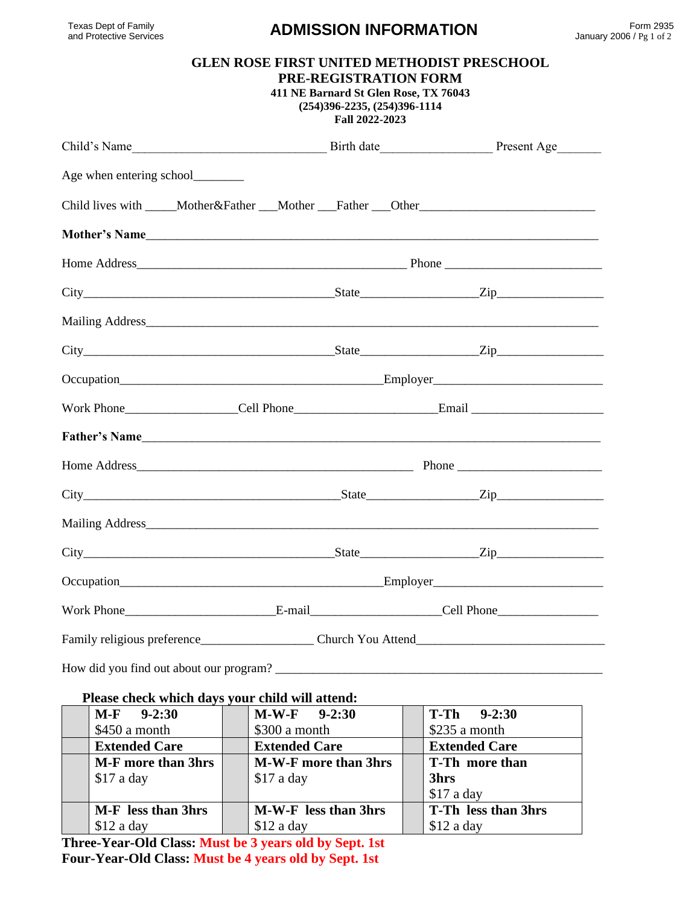## ADMISSION INFORMATION Form 2935

| <b>GLEN ROSE FIRST UNITED METHODIST PRESCHOOL</b><br><b>PRE-REGISTRATION FORM</b><br>411 NE Barnard St Glen Rose, TX 76043<br>$(254)396 - 2235, (254)396 - 1114$<br>Fall 2022-2023 |  |                                                                                   |  |  |  |
|------------------------------------------------------------------------------------------------------------------------------------------------------------------------------------|--|-----------------------------------------------------------------------------------|--|--|--|
|                                                                                                                                                                                    |  |                                                                                   |  |  |  |
|                                                                                                                                                                                    |  |                                                                                   |  |  |  |
|                                                                                                                                                                                    |  | Child lives with _____Mother&Father ___Mother ___Father ___Other_________________ |  |  |  |
|                                                                                                                                                                                    |  |                                                                                   |  |  |  |
|                                                                                                                                                                                    |  |                                                                                   |  |  |  |
|                                                                                                                                                                                    |  |                                                                                   |  |  |  |
|                                                                                                                                                                                    |  |                                                                                   |  |  |  |
|                                                                                                                                                                                    |  |                                                                                   |  |  |  |
|                                                                                                                                                                                    |  |                                                                                   |  |  |  |
|                                                                                                                                                                                    |  |                                                                                   |  |  |  |
|                                                                                                                                                                                    |  |                                                                                   |  |  |  |
|                                                                                                                                                                                    |  |                                                                                   |  |  |  |
|                                                                                                                                                                                    |  |                                                                                   |  |  |  |
|                                                                                                                                                                                    |  |                                                                                   |  |  |  |
|                                                                                                                                                                                    |  | $City$ $Zip$ $Zip$                                                                |  |  |  |
|                                                                                                                                                                                    |  |                                                                                   |  |  |  |
|                                                                                                                                                                                    |  |                                                                                   |  |  |  |
|                                                                                                                                                                                    |  |                                                                                   |  |  |  |
|                                                                                                                                                                                    |  |                                                                                   |  |  |  |

## **Please check which days your child will attend:**

| $\bf M\text{-}F$<br>$9 - 2:30$ | $M-W-F$ 9-2:30              |  | $T-Th$ 9-2:30          |  |
|--------------------------------|-----------------------------|--|------------------------|--|
| \$450 a month                  | \$300 a month               |  | \$235 a month          |  |
| <b>Extended Care</b>           | <b>Extended Care</b>        |  | <b>Extended Care</b>   |  |
| <b>M-F</b> more than 3hrs      | <b>M-W-F more than 3hrs</b> |  | <b>T</b> -Th more than |  |
| $$17$ a day                    | $$17$ a day                 |  | 3hrs                   |  |
|                                |                             |  | $$17$ a day            |  |
| <b>M-F</b> less than 3hrs      | <b>M-W-F</b> less than 3hrs |  | T-Th less than 3hrs    |  |
| $$12$ a day                    | $$12$ a day                 |  | $$12$ a day            |  |

**Three-Year-Old Class: Must be 3 years old by Sept. 1st Four-Year-Old Class: Must be 4 years old by Sept. 1st**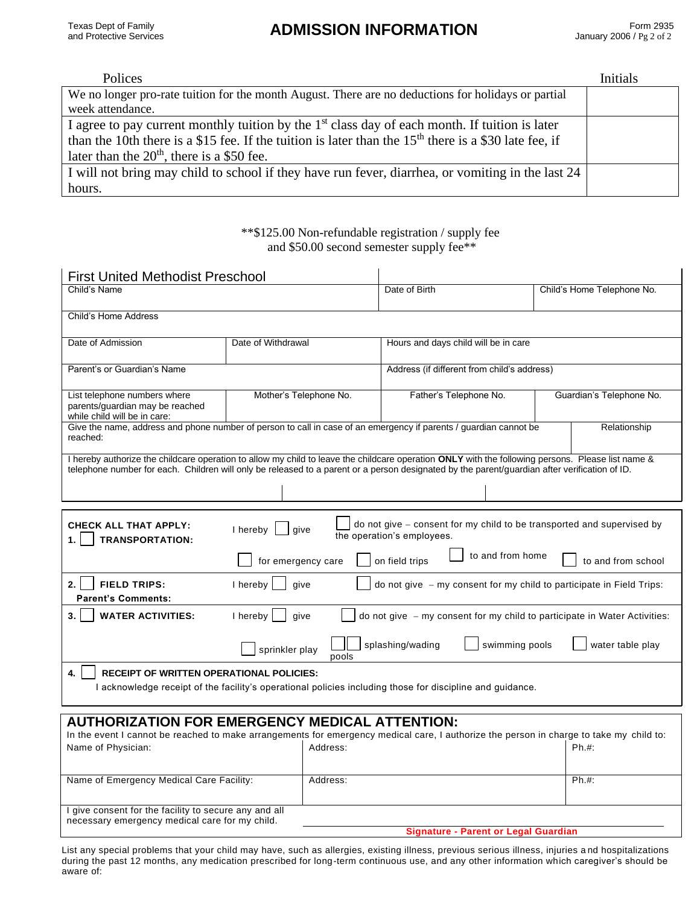| Polices                                                                                                 | <b>Initials</b> |
|---------------------------------------------------------------------------------------------------------|-----------------|
| We no longer pro-rate tuition for the month August. There are no deductions for holidays or partial     |                 |
| week attendance.                                                                                        |                 |
| I agree to pay current monthly tuition by the $1st$ class day of each month. If tuition is later        |                 |
| than the 10th there is a \$15 fee. If the tuition is later than the $15th$ there is a \$30 late fee, if |                 |
| later than the $20th$ , there is a \$50 fee.                                                            |                 |
| I will not bring may child to school if they have run fever, diarrhea, or vomiting in the last 24       |                 |
| hours.                                                                                                  |                 |

## \*\*\$125.00 Non-refundable registration / supply fee and \$50.00 second semester supply fee\*\*

| <b>First United Methodist Preschool</b>                                                                                                                                            |                                                                                                                                                                                                                                                                                                    |                                             |                            |  |  |
|------------------------------------------------------------------------------------------------------------------------------------------------------------------------------------|----------------------------------------------------------------------------------------------------------------------------------------------------------------------------------------------------------------------------------------------------------------------------------------------------|---------------------------------------------|----------------------------|--|--|
| Child's Name                                                                                                                                                                       |                                                                                                                                                                                                                                                                                                    | Date of Birth                               | Child's Home Telephone No. |  |  |
| Child's Home Address                                                                                                                                                               |                                                                                                                                                                                                                                                                                                    |                                             |                            |  |  |
|                                                                                                                                                                                    |                                                                                                                                                                                                                                                                                                    |                                             |                            |  |  |
| Date of Admission                                                                                                                                                                  | Date of Withdrawal                                                                                                                                                                                                                                                                                 | Hours and days child will be in care        |                            |  |  |
| Parent's or Guardian's Name                                                                                                                                                        |                                                                                                                                                                                                                                                                                                    | Address (if different from child's address) |                            |  |  |
|                                                                                                                                                                                    |                                                                                                                                                                                                                                                                                                    |                                             |                            |  |  |
| List telephone numbers where<br>parents/guardian may be reached<br>while child will be in care:                                                                                    | Mother's Telephone No.                                                                                                                                                                                                                                                                             | Father's Telephone No.                      | Guardian's Telephone No.   |  |  |
| reached:                                                                                                                                                                           | Give the name, address and phone number of person to call in case of an emergency if parents / guardian cannot be                                                                                                                                                                                  |                                             | Relationship               |  |  |
|                                                                                                                                                                                    | I hereby authorize the childcare operation to allow my child to leave the childcare operation ONLY with the following persons. Please list name &<br>telephone number for each. Children will only be released to a parent or a person designated by the parent/guardian after verification of ID. |                                             |                            |  |  |
|                                                                                                                                                                                    |                                                                                                                                                                                                                                                                                                    |                                             |                            |  |  |
|                                                                                                                                                                                    |                                                                                                                                                                                                                                                                                                    |                                             |                            |  |  |
| do not give – consent for my child to be transported and supervised by<br><b>CHECK ALL THAT APPLY:</b><br>I hereby<br>give<br>the operation's employees.<br><b>TRANSPORTATION:</b> |                                                                                                                                                                                                                                                                                                    |                                             |                            |  |  |
| to and from home<br>for emergency care<br>on field trips<br>to and from school                                                                                                     |                                                                                                                                                                                                                                                                                                    |                                             |                            |  |  |
| <b>FIELD TRIPS:</b><br>I hereby $\vert$<br>2.<br>give<br>do not give - my consent for my child to participate in Field Trips:<br><b>Parent's Comments:</b>                         |                                                                                                                                                                                                                                                                                                    |                                             |                            |  |  |
| I hereby $\vert$<br><b>WATER ACTIVITIES:</b><br>give<br>do not give - my consent for my child to participate in Water Activities:<br>3.                                            |                                                                                                                                                                                                                                                                                                    |                                             |                            |  |  |
|                                                                                                                                                                                    | sprinkler play<br>pools                                                                                                                                                                                                                                                                            | splashing/wading<br>swimming pools          | water table play           |  |  |
| 4.<br><b>RECEIPT OF WRITTEN OPERATIONAL POLICIES:</b>                                                                                                                              |                                                                                                                                                                                                                                                                                                    |                                             |                            |  |  |
| I acknowledge receipt of the facility's operational policies including those for discipline and guidance.                                                                          |                                                                                                                                                                                                                                                                                                    |                                             |                            |  |  |
| <b>AUTHORIZATION FOR EMERGENCY MEDICAL ATTENTION:</b>                                                                                                                              |                                                                                                                                                                                                                                                                                                    |                                             |                            |  |  |

| AVITIVINEATIVINT VIN EMENVENVT MEDIVAE ATTENTIVIN.                                                    | In the event I cannot be reached to make arrangements for emergency medical care, I authorize the person in charge to take my child to: |        |  |
|-------------------------------------------------------------------------------------------------------|-----------------------------------------------------------------------------------------------------------------------------------------|--------|--|
| Name of Physician:                                                                                    | Address:                                                                                                                                | Ph. #: |  |
|                                                                                                       |                                                                                                                                         |        |  |
| Name of Emergency Medical Care Facility:                                                              | Address:                                                                                                                                | Ph. #: |  |
| give consent for the facility to secure any and all<br>necessary emergency medical care for my child. |                                                                                                                                         |        |  |
|                                                                                                       | Signature - Parent or Legal Guardian                                                                                                    |        |  |

List any special problems that your child may have, such as allergies, existing illness, previous serious illness, injuries a nd hospitalizations during the past 12 months, any medication prescribed for long-term continuous use, and any other information which caregiver's should be aware of: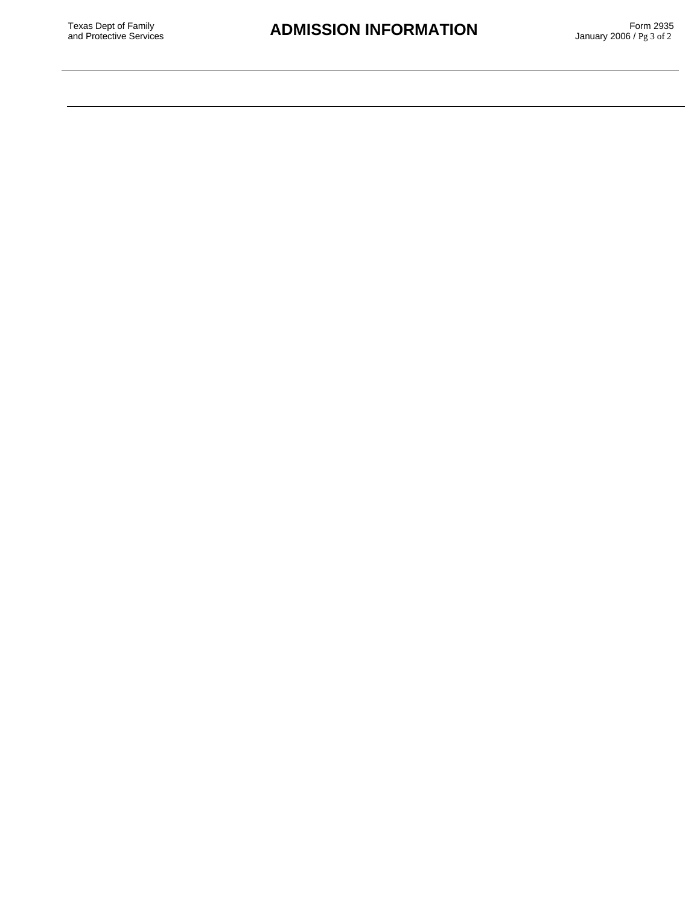Texas Dept of Family

## **ADMISSION INFORMATION**